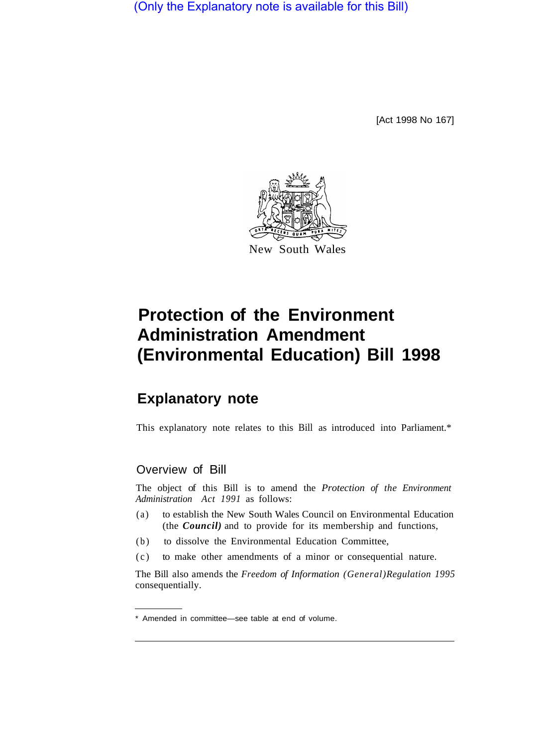(Only the Explanatory note is available for this Bill)

[Act 1998 No 167]



# **Protection of the Environment Administration Amendment (Environmental Education) Bill 1998**

## **Explanatory note**

This explanatory note relates to this Bill as introduced into Parliament.\*

### Overview of Bill

The object of this Bill is to amend the *Protection of the Environment Administration Act 1991* as follows:

- (a) to establish the New South Wales Council on Environmental Education (the *Council)* and to provide for its membership and functions,
- (b) to dissolve the Environmental Education Committee,
- (c) to make other amendments of a minor or consequential nature.

The Bill also amends the *Freedom of Information (General) Regulation 1995*  consequentially.

<sup>\*</sup> Amended in committee—see table at end of volume.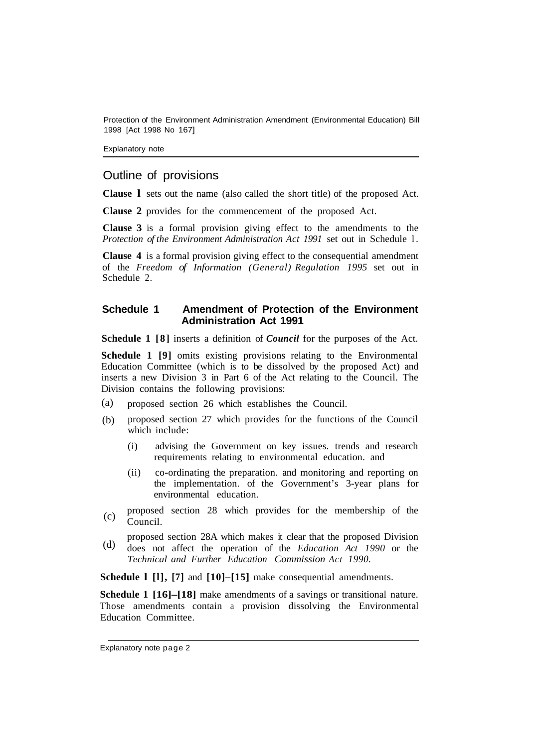Protection of the Environment Administration Amendment (Environmental Education) Bill 1998 [Act 1998 No 167]

Explanatory note

#### Outline of provisions

**Clause l** sets out the name (also called the short title) of the proposed Act.

**Clause 2** provides for the commencement of the proposed Act.

**Clause 3** is a formal provision giving effect to the amendments to the *Protection of the Environment Administration Act 1991* set out in Schedule l.

**Clause 4** is a formal provision giving effect to the consequential amendment of the *Freedom of Information (General) Regulation 1995* set out in Schedule 2.

#### **Schedule 1 Amendment of Protection of the Environment Administration Act 1991**

**Schedule 1 [8]** inserts a definition of *Council* for the purposes of the Act.

**Schedule 1 [9]** omits existing provisions relating to the Environmental Education Committee (which is to be dissolved by the proposed Act) and inserts a new Division 3 in Part 6 of the Act relating to the Council. The Division contains the following provisions:

- proposed section 26 which establishes the Council. (a)
- proposed section 27 which provides for the functions of the Council which include: (b)
	- (i) advising the Government on key issues. trends and research requirements relating to environmental education. and
	- (ii) co-ordinating the preparation. and monitoring and reporting on the implementation. of the Government's 3-year plans for environmental education.
- proposed section 28 which provides for the membership of the Council. (c)
- proposed section 28A which makes it clear that the proposed Division does not affect the operation of the *Education Act 1990* or the *Technical and Further Education Commission Act 1990.*  (d)

**Schedule l [l], [7]** and **[10]–[15]** make consequential amendments.

**Schedule 1 [16]–[18]** make amendments of a savings or transitional nature. Those amendments contain a provision dissolving the Environmental Education Committee.

Explanatory note page 2